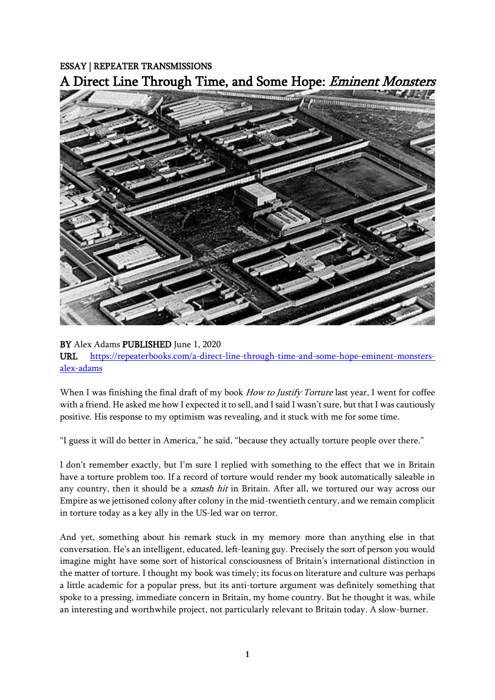## ESSAY | REPEATER TRANSMISSIONS A Direct Line Through Time, and Some Hope: Eminent Monsters



## BY Alex Adams PUBLISHED June 1, 2020

URL [https://repeaterbooks.com/a-direct-line-through-time-and-some-hope-eminent-monsters](https://repeaterbooks.com/a-direct-line-through-time-and-some-hope-eminent-monsters-alex-adams)[alex-adams](https://repeaterbooks.com/a-direct-line-through-time-and-some-hope-eminent-monsters-alex-adams) 

When I was finishing the final draft of my book *How to Justify Torture* last year, I went for coffee with a friend. He asked me how I expected it to sell, and I said I wasn't sure, but that I was cautiously positive. His response to my optimism was revealing, and it stuck with me for some time.

"I guess it will do better in America," he said, "because they actually torture people over there."

I don't remember exactly, but I'm sure I replied with something to the effect that we in Britain have a torture problem too. If a record of torture would render my book automatically saleable in any country, then it should be a *smash hit* in Britain. After all, we tortured our way across our Empire as we jettisoned colony after colony in the mid-twentieth century, and we remain complicit in torture today as a key ally in the US-led war on terror.

And yet, something about his remark stuck in my memory more than anything else in that conversation. He's an intelligent, educated, left-leaning guy. Precisely the sort of person you would imagine might have some sort of historical consciousness of Britain's international distinction in the matter of torture. I thought my book was timely; its focus on literature and culture was perhaps a little academic for a popular press, but its anti-torture argument was definitely something that spoke to a pressing, immediate concern in Britain, my home country. But he thought it was, while an interesting and worthwhile project, not particularly relevant to Britain today. A slow-burner.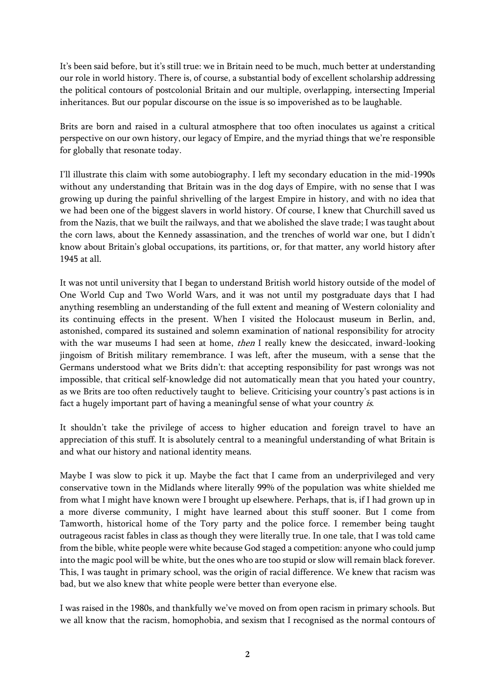It's been said before, but it's still true: we in Britain need to be much, much better at understanding our role in world history. There is, of course, a substantial body of excellent scholarship addressing the political contours of postcolonial Britain and our multiple, overlapping, intersecting Imperial inheritances. But our popular discourse on the issue is so impoverished as to be laughable.

Brits are born and raised in a cultural atmosphere that too often inoculates us against a critical perspective on our own history, our legacy of Empire, and the myriad things that we're responsible for globally that resonate today.

I'll illustrate this claim with some autobiography. I left my secondary education in the mid-1990s without any understanding that Britain was in the dog days of Empire, with no sense that I was growing up during the painful shrivelling of the largest Empire in history, and with no idea that we had been one of the biggest slavers in world history. Of course, I knew that Churchill saved us from the Nazis, that we built the railways, and that we abolished the slave trade; I was taught about the corn laws, about the Kennedy assassination, and the trenches of world war one, but I didn't know about Britain's global occupations, its partitions, or, for that matter, any world history after 1945 at all.

It was not until university that I began to understand British world history outside of the model of One World Cup and Two World Wars, and it was not until my postgraduate days that I had anything resembling an understanding of the full extent and meaning of Western coloniality and its continuing effects in the present. When I visited the Holocaust museum in Berlin, and, astonished, compared its sustained and solemn examination of national responsibility for atrocity with the war museums I had seen at home, *then* I really knew the desiccated, inward-looking jingoism of British military remembrance. I was left, after the museum, with a sense that the Germans understood what we Brits didn't: that accepting responsibility for past wrongs was not impossible, that critical self-knowledge did not automatically mean that you hated your country, as we Brits are too often reductively taught to believe. Criticising your country's past actions is in fact a hugely important part of having a meaningful sense of what your country is.

It shouldn't take the privilege of access to higher education and foreign travel to have an appreciation of this stuff. It is absolutely central to a meaningful understanding of what Britain is and what our history and national identity means.

Maybe I was slow to pick it up. Maybe the fact that I came from an underprivileged and very conservative town in the Midlands where literally 99% of the population was white shielded me from what I might have known were I brought up elsewhere. Perhaps, that is, if I had grown up in a more diverse community, I might have learned about this stuff sooner. But I come from Tamworth, historical home of the Tory party and the police force. I remember being taught outrageous racist fables in class as though they were literally true. In one tale, that I was told came from the bible, white people were white because God staged a competition: anyone who could jump into the magic pool will be white, but the ones who are too stupid or slow will remain black forever. This, I was taught in primary school, was the origin of racial difference. We knew that racism was bad, but we also knew that white people were better than everyone else.

I was raised in the 1980s, and thankfully we've moved on from open racism in primary schools. But we all know that the racism, homophobia, and sexism that I recognised as the normal contours of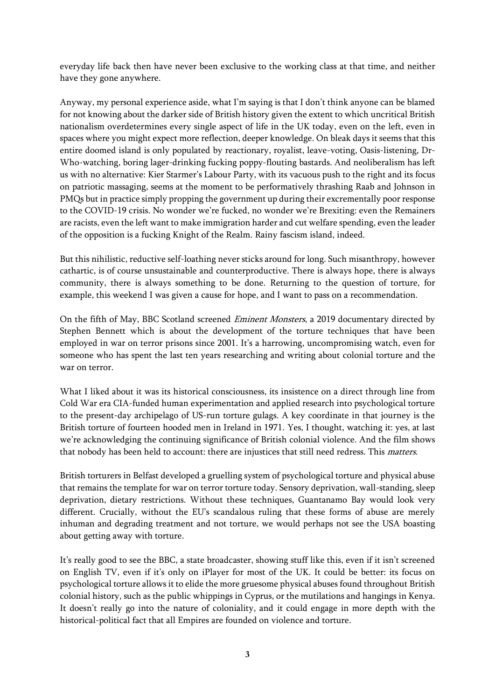everyday life back then have never been exclusive to the working class at that time, and neither have they gone anywhere.

Anyway, my personal experience aside, what I'm saying is that I don't think anyone can be blamed for not knowing about the darker side of British history given the extent to which uncritical British nationalism overdetermines every single aspect of life in the UK today, even on the left, even in spaces where you might expect more reflection, deeper knowledge. On bleak days it seems that this entire doomed island is only populated by reactionary, royalist, leave-voting, Oasis-listening, Dr-Who-watching, boring lager-drinking fucking poppy-flouting bastards. And neoliberalism has left us with no alternative: Kier Starmer's Labour Party, with its vacuous push to the right and its focus on patriotic massaging, seems at the moment to be performatively thrashing Raab and Johnson in PMQs but in practice simply propping the government up during their excrementally poor response to the COVID-19 crisis. No wonder we're fucked, no wonder we're Brexiting: even the Remainers are racists, even the left want to make immigration harder and cut welfare spending, even the leader of the opposition is a fucking Knight of the Realm. Rainy fascism island, indeed.

But this nihilistic, reductive self-loathing never sticks around for long. Such misanthropy, however cathartic, is of course unsustainable and counterproductive. There is always hope, there is always community, there is always something to be done. Returning to the question of torture, for example, this weekend I was given a cause for hope, and I want to pass on a recommendation.

On the fifth of May, BBC Scotland screened *Eminent Monsters*, a 2019 documentary directed by Stephen Bennett which is about the development of the torture techniques that have been employed in war on terror prisons since 2001. It's a harrowing, uncompromising watch, even for someone who has spent the last ten years researching and writing about colonial torture and the war on terror.

What I liked about it was its historical consciousness, its insistence on a direct through line from Cold War era CIA-funded human experimentation and applied research into psychological torture to the present-day archipelago of US-run torture gulags. A key coordinate in that journey is the British torture of fourteen hooded men in Ireland in 1971. Yes, I thought, watching it: yes, at last we're acknowledging the continuing significance of British colonial violence. And the film shows that nobody has been held to account: there are injustices that still need redress. This matters.

British torturers in Belfast developed a gruelling system of psychological torture and physical abuse that remains the template for war on terror torture today. Sensory deprivation, wall-standing, sleep deprivation, dietary restrictions. Without these techniques, Guantanamo Bay would look very different. Crucially, without the EU's scandalous ruling that these forms of abuse are merely inhuman and degrading treatment and not torture, we would perhaps not see the USA boasting about getting away with torture.

It's really good to see the BBC, a state broadcaster, showing stuff like this, even if it isn't screened on English TV, even if it's only on iPlayer for most of the UK. It could be better: its focus on psychological torture allows it to elide the more gruesome physical abuses found throughout British colonial history, such as the public whippings in Cyprus, or the mutilations and hangings in Kenya. It doesn't really go into the nature of coloniality, and it could engage in more depth with the historical-political fact that all Empires are founded on violence and torture.